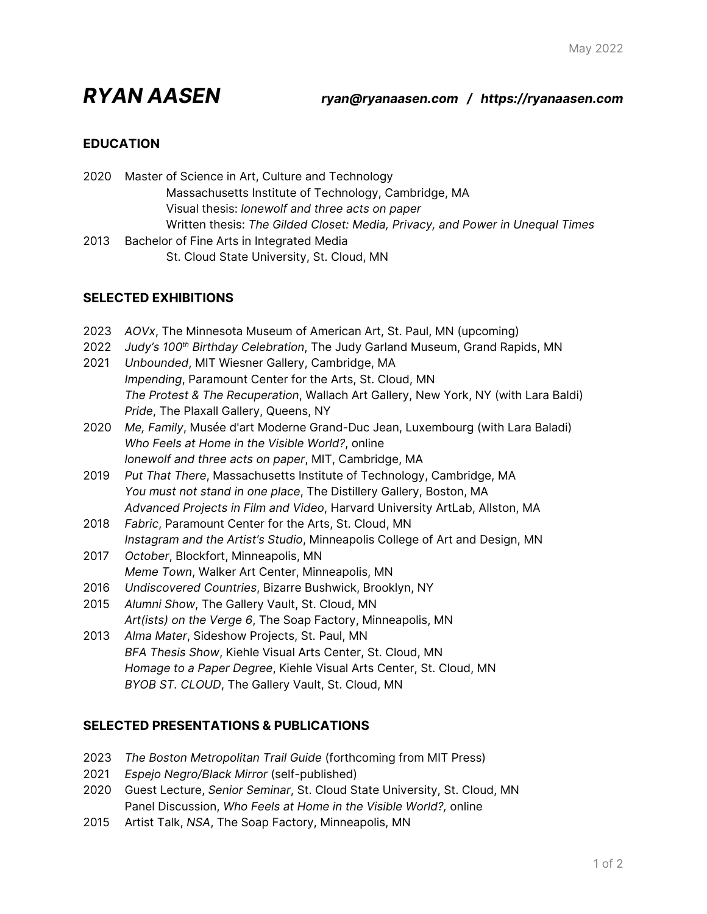# *RYAN AASEN ryan@ryanaasen.com / https://ryanaasen.com*

# **EDUCATION**

2020 Master of Science in Art, Culture and Technology Massachusetts Institute of Technology, Cambridge, MA Visual thesis: *lonewolf and three acts on paper* Written thesis: *The Gilded Closet: Media, Privacy, and Power in Unequal Times* 2013 Bachelor of Fine Arts in Integrated Media

St. Cloud State University, St. Cloud, MN

# **SELECTED EXHIBITIONS**

- 2023 *AOVx*, The Minnesota Museum of American Art, St. Paul, MN (upcoming)
- 2022 *Judy's 100th Birthday Celebration*, The Judy Garland Museum, Grand Rapids, MN
- 2021 *Unbounded*, MIT Wiesner Gallery, Cambridge, MA *Impending*, Paramount Center for the Arts, St. Cloud, MN *The Protest & The Recuperation*, Wallach Art Gallery, New York, NY (with Lara Baldi) *Pride*, The Plaxall Gallery, Queens, NY
- 2020 *Me, Family*, Musée d'art Moderne Grand-Duc Jean, Luxembourg (with Lara Baladi) *Who Feels at Home in the Visible World?*, online *lonewolf and three acts on paper*, MIT, Cambridge, MA
- 2019 *Put That There*, Massachusetts Institute of Technology, Cambridge, MA *You must not stand in one place*, The Distillery Gallery, Boston, MA *Advanced Projects in Film and Video*, Harvard University ArtLab, Allston, MA
- 2018 *Fabric*, Paramount Center for the Arts, St. Cloud, MN *Instagram and the Artist's Studio*, Minneapolis College of Art and Design, MN
- 2017 *October*, Blockfort, Minneapolis, MN *Meme Town*, Walker Art Center, Minneapolis, MN
- 2016 *Undiscovered Countries*, Bizarre Bushwick, Brooklyn, NY
- 2015 *Alumni Show*, The Gallery Vault, St. Cloud, MN *Art(ists) on the Verge 6*, The Soap Factory, Minneapolis, MN
- 2013 *Alma Mater*, Sideshow Projects, St. Paul, MN *BFA Thesis Show*, Kiehle Visual Arts Center, St. Cloud, MN *Homage to a Paper Degree*, Kiehle Visual Arts Center, St. Cloud, MN *BYOB ST. CLOUD*, The Gallery Vault, St. Cloud, MN

# **SELECTED PRESENTATIONS & PUBLICATIONS**

- 2023 *The Boston Metropolitan Trail Guide* (forthcoming from MIT Press)
- 2021 *Espejo Negro/Black Mirror* (self-published)
- 2020 Guest Lecture, *Senior Seminar*, St. Cloud State University, St. Cloud, MN Panel Discussion, *Who Feels at Home in the Visible World?,* online
- 2015 Artist Talk, *NSA*, The Soap Factory, Minneapolis, MN